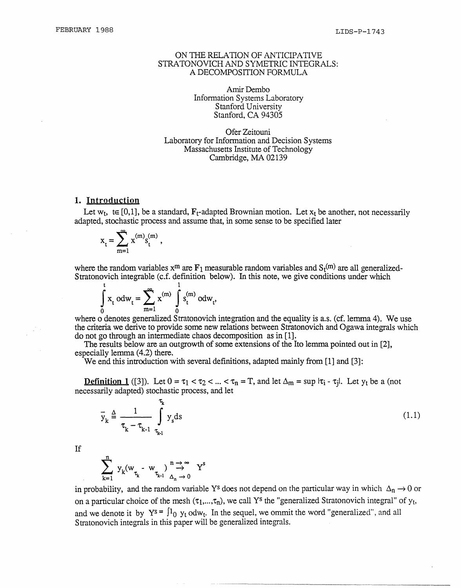### ON THE RELATION OF ANTICIPATIVE STRATONOVICH AND SYMETRIC INTEGRALS: A DECOMPOSITION FORMULA

Amir Dembo Information Systems Laboratory Stanford University Stanford, CA *94305*

Ofer Zeitouni Laboratory for Information and Decision Systems Massachusetts Institute of Technology Cambridge, MA 02139

#### **1. Introduction**

Let  $w_t$ , te [0,1], be a standard,  $F_t$ -adapted Brownian motion. Let  $x_t$  be another, not necessarily adapted, stochastic process and assume that, in some sense to be specified later

$$
x_t = \sum_{m=1}^{\infty} x^{(m)} s_t^{(m)}
$$

where the random variables  $x^m$  are  $F_1$  measurable random variables and  $S_t^{(m)}$  are all generalized-Stratonovich integrable (c.f. definition below). In this note, we give conditions under which

 $\sim$   $\sim$  1  $X_t$  odw<sub>t</sub> =  $\sum x^{x}$  |  $S_t^{x}$  odw<sub>t</sub>,  $\overline{0}$  m=1  $\overline{0}$ 

where o denotes generalized Stratonovich integration and the equality is a.s. (cf. lemma 4). We use the criteria we derive to provide some new relations between Stratonovich and Ogawa integrals which do not go through an intermediate chaos decomposition as in [1].

The results below are an outgrowth of some extensions of the Ito lemma pointed out in [2], especially lemma (4.2) there.

We end this introduction with several definitions, adapted mainly from [1] and [3]:

**Definition 1** ([3]). Let  $0 = \tau_1 < \tau_2 < ... < \tau_n = T$ , and let  $\Delta_m = \sup |\tau_i - \tau_j|$ . Let  $y_t$  be a (not necessarily adapted) stochastic process, and let

 $\overline{y}_k \triangleq \frac{1}{\tau_{k-1} - \tau_{k-1}}$   $y_s ds$  (1.1)  $\tau_{k} - \tau_{k-1}$   $\tau_{k-1}$ 

If  

$$
\sum_{k=1}^{n} y_k (w_{\tau_k} - w_{\tau_{k-1}})^n \stackrel{n \to \infty}{\to} Y^s
$$

in probability, and the random variable Y<sup>s</sup> does not depend on the particular way in which  $\Delta_n \rightarrow 0$  or on a particular choice of the mesh  $(\tau_1,...,\tau_n)$ , we call Y<sup>s</sup> the "generalized Stratonovich integral" of  $y_t$ , and we denote it by  $Y^s = \int_{0}^{1} y_t \, \text{ddw}_t$ . In the sequel, we ommit the word "generalized", and all Stratonovich integrals in this paper will be generalized integrals.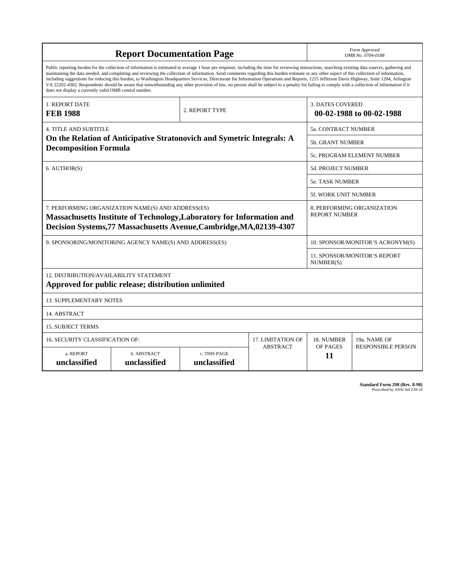| <b>Report Documentation Page</b>                                                                                                                                                                                                                                                                                                                                                                                                                                                                                                                                                                                                                                                                                                                                                                                                                                   |                             |                              |                 | Form Approved<br>OMB No. 0704-0188                  |                           |
|--------------------------------------------------------------------------------------------------------------------------------------------------------------------------------------------------------------------------------------------------------------------------------------------------------------------------------------------------------------------------------------------------------------------------------------------------------------------------------------------------------------------------------------------------------------------------------------------------------------------------------------------------------------------------------------------------------------------------------------------------------------------------------------------------------------------------------------------------------------------|-----------------------------|------------------------------|-----------------|-----------------------------------------------------|---------------------------|
| Public reporting burden for the collection of information is estimated to average 1 hour per response, including the time for reviewing instructions, searching existing data sources, gathering and<br>maintaining the data needed, and completing and reviewing the collection of information. Send comments regarding this burden estimate or any other aspect of this collection of information,<br>including suggestions for reducing this burden, to Washington Headquarters Services, Directorate for Information Operations and Reports, 1215 Jefferson Davis Highway, Suite 1204, Arlington<br>VA 22202-4302. Respondents should be aware that notwithstanding any other provision of law, no person shall be subject to a penalty for failing to comply with a collection of information if it<br>does not display a currently valid OMB control number. |                             |                              |                 |                                                     |                           |
| <b>1. REPORT DATE</b><br><b>FEB 1988</b>                                                                                                                                                                                                                                                                                                                                                                                                                                                                                                                                                                                                                                                                                                                                                                                                                           | 2. REPORT TYPE              |                              |                 | <b>3. DATES COVERED</b><br>00-02-1988 to 00-02-1988 |                           |
| <b>4. TITLE AND SUBTITLE</b>                                                                                                                                                                                                                                                                                                                                                                                                                                                                                                                                                                                                                                                                                                                                                                                                                                       |                             |                              |                 | <b>5a. CONTRACT NUMBER</b>                          |                           |
| On the Relation of Anticipative Stratonovich and Symetric Integrals: A<br><b>Decomposition Formula</b>                                                                                                                                                                                                                                                                                                                                                                                                                                                                                                                                                                                                                                                                                                                                                             |                             |                              |                 | <b>5b. GRANT NUMBER</b>                             |                           |
|                                                                                                                                                                                                                                                                                                                                                                                                                                                                                                                                                                                                                                                                                                                                                                                                                                                                    |                             |                              |                 | 5c. PROGRAM ELEMENT NUMBER                          |                           |
| 6. AUTHOR(S)                                                                                                                                                                                                                                                                                                                                                                                                                                                                                                                                                                                                                                                                                                                                                                                                                                                       |                             |                              |                 | 5d. PROJECT NUMBER                                  |                           |
|                                                                                                                                                                                                                                                                                                                                                                                                                                                                                                                                                                                                                                                                                                                                                                                                                                                                    |                             |                              |                 | <b>5e. TASK NUMBER</b>                              |                           |
|                                                                                                                                                                                                                                                                                                                                                                                                                                                                                                                                                                                                                                                                                                                                                                                                                                                                    |                             |                              |                 | 5f. WORK UNIT NUMBER                                |                           |
| 7. PERFORMING ORGANIZATION NAME(S) AND ADDRESS(ES)<br>8. PERFORMING ORGANIZATION<br><b>REPORT NUMBER</b><br>Massachusetts Institute of Technology, Laboratory for Information and<br>Decision Systems, 77 Massachusetts Avenue, Cambridge, MA, 02139-4307                                                                                                                                                                                                                                                                                                                                                                                                                                                                                                                                                                                                          |                             |                              |                 |                                                     |                           |
| 9. SPONSORING/MONITORING AGENCY NAME(S) AND ADDRESS(ES)                                                                                                                                                                                                                                                                                                                                                                                                                                                                                                                                                                                                                                                                                                                                                                                                            |                             |                              |                 | 10. SPONSOR/MONITOR'S ACRONYM(S)                    |                           |
|                                                                                                                                                                                                                                                                                                                                                                                                                                                                                                                                                                                                                                                                                                                                                                                                                                                                    |                             |                              |                 | <b>11. SPONSOR/MONITOR'S REPORT</b><br>NUMBER(S)    |                           |
| 12. DISTRIBUTION/AVAILABILITY STATEMENT<br>Approved for public release; distribution unlimited                                                                                                                                                                                                                                                                                                                                                                                                                                                                                                                                                                                                                                                                                                                                                                     |                             |                              |                 |                                                     |                           |
| <b>13. SUPPLEMENTARY NOTES</b>                                                                                                                                                                                                                                                                                                                                                                                                                                                                                                                                                                                                                                                                                                                                                                                                                                     |                             |                              |                 |                                                     |                           |
| 14. ABSTRACT                                                                                                                                                                                                                                                                                                                                                                                                                                                                                                                                                                                                                                                                                                                                                                                                                                                       |                             |                              |                 |                                                     |                           |
| <b>15. SUBJECT TERMS</b>                                                                                                                                                                                                                                                                                                                                                                                                                                                                                                                                                                                                                                                                                                                                                                                                                                           |                             |                              |                 |                                                     |                           |
| 16. SECURITY CLASSIFICATION OF:<br>17. LIMITATION OF                                                                                                                                                                                                                                                                                                                                                                                                                                                                                                                                                                                                                                                                                                                                                                                                               |                             |                              |                 | 18. NUMBER                                          | 19a. NAME OF              |
| a. REPORT<br>unclassified                                                                                                                                                                                                                                                                                                                                                                                                                                                                                                                                                                                                                                                                                                                                                                                                                                          | b. ABSTRACT<br>unclassified | c. THIS PAGE<br>unclassified | <b>ABSTRACT</b> | OF PAGES<br>11                                      | <b>RESPONSIBLE PERSON</b> |

**Standard Form 298 (Rev. 8-98)**<br>Prescribed by ANSI Std Z39-18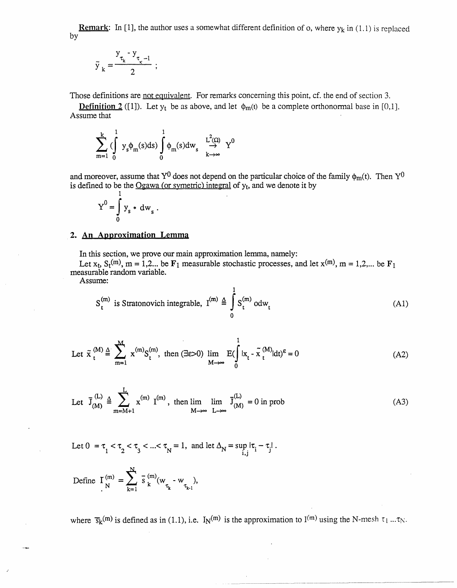Remark: In [1], the author uses a somewhat different definition of o, where  $y_k$  in (1.1) is replaced by

$$
\tilde{y}_k = \frac{y_{\tau_k} - y_{\tau_k - 1}}{2} ;
$$

Those definitions are not equivalent. For remarks concerning this point, cf. the end of section 3.

**Definition 2** ([1]). Let  $y_t$  be as above, and let  $\phi_m(t)$  be a complete orthonormal base in [0,1]. Assume that

$$
\sum_{m=1}^{k} \left( \int_{0}^{1} y_{s} \phi_{m}(s) ds \right) \int_{0}^{1} \phi_{m}(s) dw_{s} \xrightarrow[k \to \infty]{L^{2}(\Omega)} Y^{0}
$$

and moreover, assume that Y<sup>0</sup> does not depend on the particular choice of the family  $\phi_m(t)$ . Then Y<sup>0</sup> is defined to be the  $Ogawa$  (or symetric) integral of  $y_t$ , and we denote it by

$$
Y^0 = \int_0^1 y_s * dw_s.
$$

## **2. An Apnroximation Lemma**

In this section, we prove our main approximation lemma, namely:

Let  $x_t$ ,  $S_t^{(m)}$ ,  $m = 1,2...$  be  $F_1$  measurable stochastic processes, and let  $x^{(m)}$ ,  $m = 1,2,...$  be  $F_1$ measurable random variable.

Assume:

$$
S_t^{(m)} \text{ is Stratonovich integrable, } I^{(m)} \triangleq \int_0^1 S_t^{(m)} \text{odw}_t \tag{A1}
$$

Let 
$$
\tilde{x}_{t}^{(M)} \triangleq \sum_{m=1}^{M} x^{(m)} S_{t}^{(m)}
$$
, then  $(\exists \varepsilon > 0)$   $\lim_{M \to \infty} E(\int_{0}^{1} |x_{t} - \tilde{x}_{t}^{(M)}| dt)^{\varepsilon} = 0$  (A2)

Let 
$$
\overline{J}_{(M)}^{(L)} \triangleq \sum_{m=M+1}^{L} x^{(m)} I^{(m)}
$$
, then  $\lim_{M \to \infty} \lim_{L \to \infty} \overline{J}_{(M)}^{(L)} = 0$  in prob (A3)

Let 
$$
0 = \tau_1 < \tau_2 < \tau_3 < ... < \tau_N = 1
$$
, and let  $\Delta_N = \sup_{i,j} |\tau_i - \tau_j|$ .

Define 
$$
\Gamma_N^{(m)} = \sum_{k=1}^N \overline{s}_k^{(m)}(w_{\tau_k} - w_{\tau_{k-1}}),
$$

where  $\bar{s}_k^{(m)}$  is defined as in (1.1), i.e.  $I_N^{(m)}$  is the approximation to  $I^{(m)}$  using the N-mesh  $\tau_1 \dots \tau_N$ .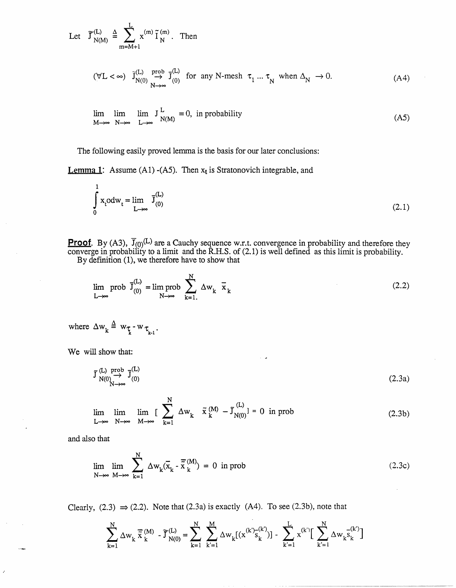Let 
$$
\widetilde{\mathcal{J}}_{N(M)}^{(L)} \triangleq \sum_{m=M+1}^{L} x^{(m)} \widetilde{\mathcal{I}}_{N}^{(m)}
$$
. Then

$$
(\forall L < \infty) \quad \tilde{J}_{N(0)}^{(L)} \stackrel{prob}{\longrightarrow} \tilde{J}_{(0)}^{(L)} \quad \text{for any N-mesh} \quad \tau_1 \dots \tau_N \quad \text{when } \Delta_N \to 0. \tag{A4}
$$

$$
\lim_{M \to \infty} \lim_{N \to \infty} J_{N(M)}^L = 0, \text{ in probability}
$$
\n(A5)

The following easily proved lemma is the basis for our later conclusions:

**Lemma 1:** Assume (A1) -(A5). Then  $x_t$  is Stratonovich integrable, and

$$
\int_{0}^{1} x_{t} o dw_{t} = \lim_{L \to \infty} \overline{J}_{(0)}^{(L)}
$$
\n(2.1)

**Proof.** By (A3),  $\mathbf{J}_{(0)}^{(L)}$  are a Cauchy sequence w.r.t. convergence in probability and therefore they converge in probability to a limit and the R.H.S. of (2.1) is well defined as this limit is probability. By definition (1), we therefore have to show that

$$
\lim_{L \to \infty} \text{prob } \overline{J}_{(0)}^{(L)} = \lim_{N \to \infty} \text{prob } \sum_{k=1}^{N} \Delta w_k \overline{x}_k
$$
\n(2.2)

where  $\Delta w_k \triangleq w_{\tau_k}$  -  $w_{\tau_{k-1}}$ .

We will show that:

$$
\begin{array}{c}\n\tilde{J}^{(L)} \xrightarrow{prob} \overrightarrow{J}^{(L)} \\
N \rightarrow \infty\n\end{array} (2.3a)
$$

$$
\lim_{L \to \infty} \lim_{N \to \infty} \lim_{M \to \infty} \left[ \sum_{k=1}^{N} \Delta w_k \ \tilde{x}_k^{(M)} - \tilde{J}_{N(0)}^{(L)} \right] = 0 \text{ in prob}
$$
\n(2.3b)

and also that

$$
\lim_{N \to \infty} \lim_{M \to \infty} \sum_{k=1}^{N} \Delta w_k(\overline{x}_k - \overline{\overline{x}}_k^{(M)}) = 0 \text{ in prob } (2.3c)
$$

Clearly,  $(2.3) \Rightarrow (2.2)$ . Note that  $(2.3a)$  is exactly  $(A4)$ . To see  $(2.3b)$ , note that

$$
\sum_{k=1}^N \Delta w_k \; \overline{\tilde{x}}_k^{(M)} - \widetilde{J}_{N(0)}^{(L)} = \sum_{k=1}^N \; \sum_{k'=1}^M \Delta w_k[(x^{(k')} \widetilde{s}_k^{(k')})] - \sum_{k'=1}^L x^{(k')} \Big[ \; \sum_{k'=1}^N \Delta w_k \widetilde{s}_k^{(k')} \Big]
$$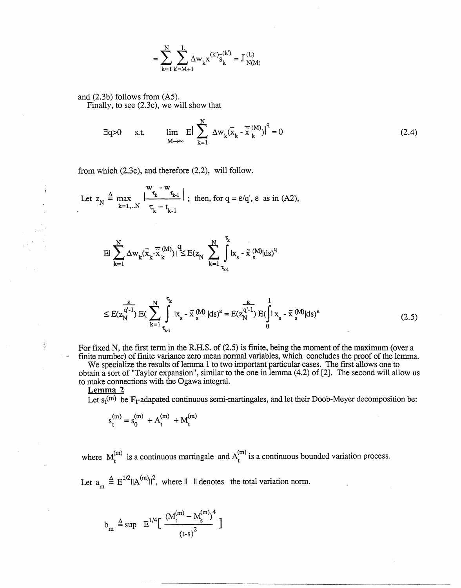$$
= \sum_{k=1}^N \sum_{k=M+1}^L \Delta w_k x^{(k')} s_k^{(k')} = \tilde{J}_{N(M)}^{(L)}
$$

and (2.3b) follows from (A5). Finally, to see (2.3c), we will show that

$$
\exists q > 0 \quad \text{s.t.} \quad \lim_{M \to \infty} E \Big| \sum_{k=1}^{N} \Delta w_k (\overline{x}_k - \overline{\overline{x}}_k^{(M)}) \Big|^q = 0 \tag{2.4}
$$

from which (2.3c), and therefore (2.2), will follow.

Let 
$$
z_N \triangleq \max_{k=1...N} \left| \frac{w_{\tau_k} - w_{\tau_{k-1}}}{\tau_k - t_{k-1}} \right|
$$
; then, for  $q = \varepsilon/q'$ ,  $\varepsilon$  as in (A2),

$$
E|\sum_{k=1}^{N} \Delta w_k(\overline{x}_k - \overline{\tilde{x}}_k^{(M)})|^q \le E(z_N \sum_{k=1}^{N} \int_{\tau_{k-1}}^{\tau_k} |x_s - \tilde{x}_s^{(M)}| ds)^q
$$

$$
\leq E(z_N^{q'-1}) E\left(\sum_{k=1}^N \int_{\tau_{k1}}^{\tau_k} |x_s - \tilde{x}_s^{(M)}| ds\right) \epsilon = E(z_N^{q'-1}) E\left(\int_0^1 |x_s - \tilde{x}_s^{(M)}| ds\right) \epsilon
$$
(2.5)

For fixed N, the first term in the R.H.S. of (2.5) is finite, being the moment of the maximum (over a finite number) of finite variance zero mean normal variables, which concludes the proof of the lemma.

We specialize the results of lemma 1 to two important particular cases. The first allows one to obtain a sort of "Taylor expansion", similar to the one in lemma (4.2) of [2]. The second will allow us to make connections with the Ogawa integral.

**Lemma 2**

Let  $s_t^{(m)}$  be  $F_t$ -adapated continuous semi-martingales, and let their Doob-Meyer decomposition be:

$$
s_t^{(m)} = s_0^{(m)}\ + A_t^{(m)}\ + M_t^{(m)}
$$

where  $M_t^{(m)}$  is a continuous martingale and  $A_t^{(m)}$  is a continuous bounded variation process.

Let  $a_m \triangleq E^{1/2} ||A^{(m)}||^2$ , where  $|| \cdot ||$  denotes the total variation norm.

$$
b_{m} \triangleq \sup E^{1/4} \Big[ \frac{(M_t^{(m)} - M_s^{(m)})^4}{(t-s)^2} \Big]
$$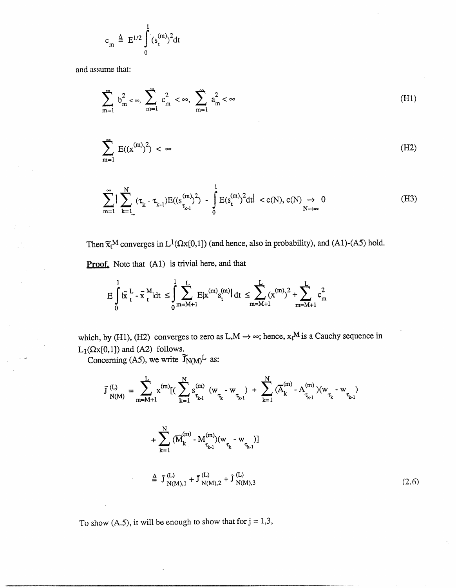$$
c_m \triangleq E^{1/2} \int_0^1 (s_t^{(m)})^2 dt
$$

and assume that:

$$
\sum_{m=1}^{\infty} b_m^2 < \infty, \sum_{m=1}^{\infty} c_m^2 < \infty, \sum_{m=1}^{\infty} a_m^2 < \infty \tag{H1}
$$

$$
\sum_{m=1}^{\infty} E((x^{(m)})^2) < \infty \tag{H2}
$$

$$
\sum_{m=1}^{\infty} |\sum_{k=1}^{N} (\tau_{k} - \tau_{k-1}) E((s_{\tau_{k-1}}^{(m)})^{2}) - \int_{0}^{1} E(s_{t}^{(m)})^{2} dt| < c(N), c(N) \to 0
$$
\n(H3)

Then  $\widetilde{\mathfrak{X}}_t^M$  converges in  $L^1(\Omega \times [0,1])$  (and hence, also in probability), and (A1)-(A5) hold.

Proof. Note that (A1) is trivial here, and that

$$
E\int_{0}^{1}|\tilde{x}|_{t}^{L} - \tilde{x}|_{t}^{M}|dt \leq \int_{0}^{1}\sum_{m=M+1}^{L}E|x^{(m)}s_{t}^{(m)}|dt \leq \sum_{m=M+1}^{L}(x^{(m)})^{2} + \sum_{m=M+1}^{L}c_{m}^{2}
$$

which, by (H1), (H2) converges to zero as  $L, M \rightarrow \infty$ ; hence,  $x_t^M$  is a Cauchy sequence in  $L_1(\Omega x[0,1])$  and (A2) follows.

Concerning (A5), we write  $\widetilde{J}_{N(M)}$ <sup>L</sup> as:

$$
\tilde{J}_{N(M)}^{(L)} = \sum_{m=M+1}^{L} x^{(m)} [ (\sum_{k=1}^{N} s_{\tau_{k-1}}^{(m)} (w_{\tau_{k}} - w_{\tau_{k-1}}) + \sum_{k=1}^{N} (\overline{A}_{k}^{(m)} - A_{\tau_{k-1}}^{(m)}) (w_{\tau_{k}} - w_{\tau_{k-1}}) + \sum_{k=1}^{N} (\overline{M}_{k}^{(m)} - M_{\tau_{k-1}}^{(m)}) (w_{\tau_{k}} - w_{\tau_{k-1}})]
$$
\n
$$
\stackrel{\Delta}{=} \tilde{J}_{N(M),1}^{(L)} + \tilde{J}_{N(M),2}^{(L)} + \tilde{J}_{N(M),3}^{(L)}
$$
\n(2.6)

To show (A.5), it will be enough to show that for  $j = 1,3$ ,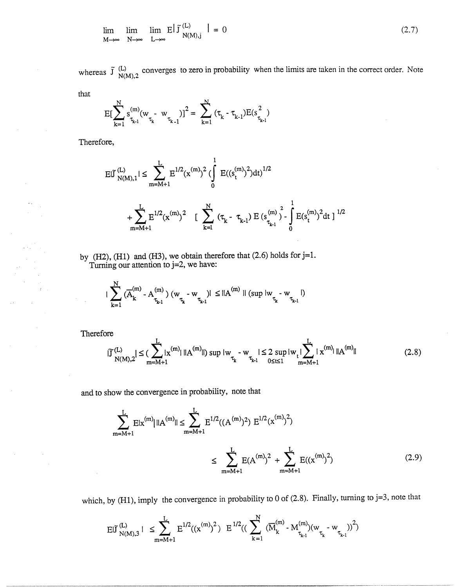$$
\lim_{M \to \infty} \lim_{N \to \infty} E \left| \tilde{J}^{(L)} \right| = 0
$$
\n(2.7)

whereas  $\tilde{J}$  (L) converges to zero in probability when the limits are taken in the correct order. Note

that

$$
E[\sum_{k=1}^N s^{(m)}_{\tau_{k\text{-}1}}(w_{\tau_k^{\text{-}}} \ w_{\tau_{k\text{-}1}})]^2 = \sum_{k=1}^N \ (\tau_k^{\text{-}} \ \tau_{k\text{-}1}) E(s^2_{\tau_{k\text{-}1}})
$$

Therefore,

$$
\begin{aligned} \text{E}|\tilde{J}_{N(M),1}^{(L)}| &\leq \sum_{m=M+1}^{L} \text{E}^{1/2}(\boldsymbol{x}^{(m)})^2 \, (\int\limits_{0}^{1} \, \text{E}((s_{t}^{(m)})^2) \text{d}t)^{1/2} \\ &\quad + \sum_{m=M+1}^{L} \text{E}^{1/2}(\boldsymbol{x}^{(m)})^2 \quad [\quad \sum_{k=1}^{N} \, \left(\tau_{k} - \tau_{k-1}\right) \, \text{E}\left(s_{\tau_{k-1}}^{(m)}\right)^2 \, \int\limits_{0}^{1} \, \text{E}(s_{t}^{(m)})^2 \, \text{d}t \, ]^{1/2} \end{aligned}
$$

by  $(H2)$ ,  $(H1)$  and  $(H3)$ , we obtain therefore that  $(2.6)$  holds for j=1. Turning our attention to j=2, we have:

$$
|\sum_{k=1}^N {(\overline{A}^{(m)}_k - A^{(m)}_{\tau_{k\cdot 1}})~(w_{\tau_k^-} - w_{\tau_{k\cdot 1}})|} \leq ||A^{(m)}||~(\sup |w_{\tau_k^-} - w_{\tau_{k\cdot 1}}|)
$$

Therefore

$$
|\widetilde{J}_{N(M),2}^{(L)}| \leq (\sum_{m=M+1}^{L} |x^{(m)}| \, ||A^{(m)}||) \sup |w_{\tau_k} - w_{\tau_{k-1}}| \leq 2 \sup_{0 \leq t \leq 1} |w_t| \sum_{m=M+1}^{L} |x^{(m)}| \, ||A^{(m)}|| \tag{2.8}
$$

and to show the convergence in probability, note that

$$
\sum_{m=M+1}^{L} E|x^{(m)}| ||A^{(m)}|| \le \sum_{m=M+1}^{L} E^{1/2}((A^{(m)})^2) E^{1/2}(x^{(m)})^2)
$$
  

$$
\le \sum_{m=M+1}^{L} E(A^{(m)})^2 + \sum_{m=M+1}^{L} E((x^{(m)})^2)
$$
(2.9)

which, by (H1), imply the convergence in probability to 0 of (2.8). Finally, turning to  $j=3$ , note that

$$
E|\tilde{J}_{N(M),3}^{(L)}| \leq \sum_{m=M+1}^{L} E^{1/2}((x^{(m)})^2) E^{1/2}((\sum_{k=1}^{N} (\overline{M}_{k}^{(m)} - M_{\tau_{k-1}}^{(m)})(w_{\tau_{k}} - w_{\tau_{k-1}}))^{2})
$$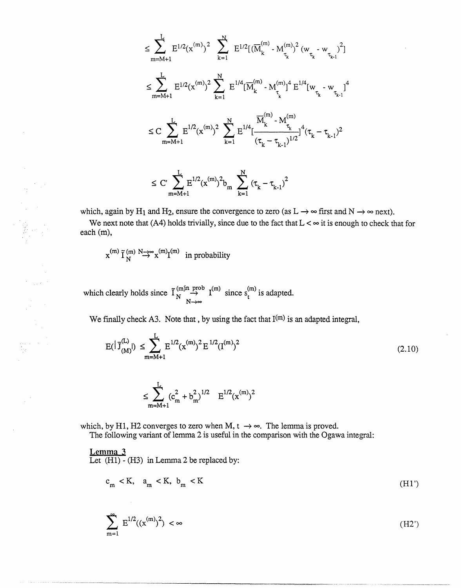$$
\leq \sum_{m=M+1}^{L} E^{1/2}(x^{(m)})^2 \sum_{k=1}^{N} E^{1/2}[(\overline{M}_{k}^{(m)} \cdot M_{\tau_{k}}^{(m)})^2 (w_{\tau_{k}} \cdot w_{\tau_{k-1}})^2]
$$
  

$$
\leq \sum_{m=M+1}^{L} E^{1/2}(x^{(m)})^2 \sum_{k=1}^{N} E^{1/4}[\overline{M}_{k}^{(m)} \cdot M_{\tau_{k}}^{(m)}]^4 E^{1/4}[w_{\tau_{k}} \cdot w_{\tau_{k-1}}]^4
$$
  

$$
\leq C \sum_{m=M+1}^{L} E^{1/2}(x^{(m)})^2 \sum_{k=1}^{N} E^{1/4}[\frac{\overline{M}_{k}^{(m)} \cdot M_{\tau_{k}}^{(m)}}{(\tau_{k} - \tau_{k-1})^{1/2}}]^4 (\tau_{k} - \tau_{k-1})^2
$$

$$
\leq \ C \sum_{m=M+1}^{L} E^{1/2} (x^{(m)})^2 b_m \sum_{k=1}^{N} \left(\tau_k - \tau_{k-1}\right)^2
$$

which, again by H<sub>1</sub> and H<sub>2</sub>, ensure the convergence to zero (as  $L \rightarrow \infty$  first and N  $\rightarrow \infty$  next).

We next note that (A4) holds trivially, since due to the fact that  $L < \infty$  it is enough to check that for each (m),

$$
x^{(m)} \tilde{I}_{N}^{(m)} \stackrel{N \to \infty}{\to} x^{(m)} I^{(m)} \text{ in probability}
$$

 $\begin{array}{l} \frac{\partial}{\partial x_1} \, , \, \, . \end{array}$ 

which clearly holds since  $\overline{I}_N^{(m)} \stackrel{\text{prob}}{\rightarrow} I^{(m)}$  since  $s_t^{(m)}$  is adapted.  $N \rightarrow$ 

We finally check A3. Note that, by using the fact that  $I^{(m)}$  is an adapted integral,

$$
E(|\bar{J}_{(M)}^{(L)}|) \leq \sum_{m=M+1}^{L} E^{1/2} (x^{(m)})^2 E^{1/2} (I^{(m)})^2
$$
\n(2.10)

$$
\leq \!\!\!\!\!\!\sum_{m=M+1}^{L} (c_m^2 + b_m^2)^{1/2} \quad \ E^{1/2} (x^{(m)})^2
$$

which, by H1, H2 converges to zero when M,  $t \rightarrow \infty$ . The lemma is proved.

The following variant of lemma 2 is useful in the comparison with the Ogawa integral:

Lemma **3** Let (H1) - (H3) in Lemma 2 be replaced by:

$$
c_m < K, \quad a_m < K, \quad b_m < K \tag{H1'}
$$

$$
\sum_{m=1}^{\infty} E^{1/2}((x^{(m)})^2) < \infty \tag{H2'}
$$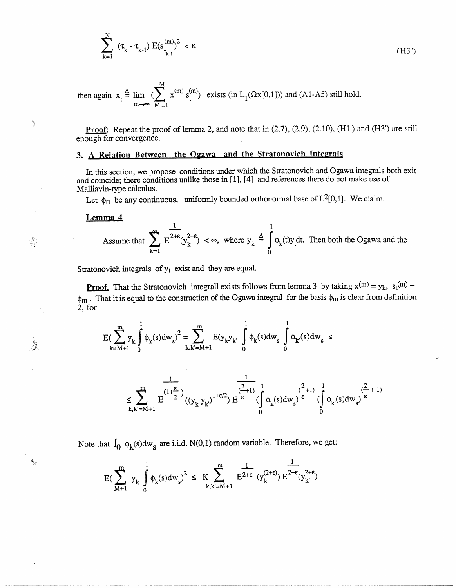$$
\sum_{k=1}^N \ (\tau_k - \tau_{k-1}) \ E(s_{\tau_{k-1}}^{(m)})^2 \ < \ \kappa
$$

then again 
$$
x_t \stackrel{\Delta}{=} \lim_{m \to \infty} \left( \sum_{M=1}^{M} x^{(m)} s_t^{(m)} \right)
$$
 exists (in L<sub>1</sub>(\Omegax[0,1])) and (A1-A5) still hold.

Proof: Repeat the proof of lemma 2, and note that in  $(2.7)$ ,  $(2.9)$ ,  $(2.10)$ ,  $(H1')$  and  $(H3')$  are still enough for convergence.

 $(H3')$ 

# **3.** A Relation Between the Ogawa **and the** Stratonovich Integrals

In this section, we propose conditions under which the Stratonovich and Ogawa integrals both exit and coincide; there conditions unlike those in [1], [4] and references there do not make use of Malliavin-type calculus.

Let  $\phi_n$  be any continuous, uniformly bounded orthonormal base of  $L^2[0,1]$ . We claim:

**Lemma 4**

 $\frac{d\mathcal{L}}{d\mathcal{L}}$ 

 $\theta_{\frac{1}{2}}$ 

Assume that 
$$
\sum_{k=1}^{\infty} E^{2+\epsilon}(y_k^{2+\epsilon}) < \infty, \text{ where } y_k \triangleq \int_0^1 \phi_k(t)y_t dt.
$$
 Then both the Ogawa and the

Stratonovich integrals of  $y_t$  exist and they are equal.

**Proof.** That the Stratonovich integrall exists follows from lemma 3 by taking  $x^{(m)} = y_k$ ,  $s_t^{(m)} =$  $\phi_m$ . That it is equal to the construction of the Ogawa integral for the basis  $\phi_m$  is clear from definition 2, for

$$
E(\sum_{k=M+1}^{m}y_{k}\int_{0}^{1}\varphi_{k}(s)dw_{s})^{2}=\sum_{k,k'=M+1}^{m}E(y_{k}y_{k'}\int_{0}^{1}\varphi_{k}(s)dw_{s}\int_{0}^{1}\varphi_{k'}(s)dw_{s}\leq
$$

$$
\leq \sum_{k,k'=M+1}^m E^{(1+\frac{\epsilon}{2})}((y_k y_{k'})^{1+\epsilon/2}) E^{\frac{1}{\epsilon}} \int_0^{\frac{2}{\epsilon}+1)} (\int_0^1 \varphi_k(s) dw_s)^{\frac{2}{\epsilon}} \int_0^1 \varphi_{k'}(s) dw_s)^{\frac{2}{\epsilon}+1)}
$$

Note that  $\int_0 \phi_k(s) dw_s$  are i.i.d. N(0,1) random variable. Therefore, we get:

$$
E\big(\sum_{M+1}^m\ y_k\ \int\limits_0^1 \varphi_k(s)dw_s\big)^2\ \leq\ K\!\!\sum_{k,k'=M+1}^m E^{2+\epsilon}\ (y_k^{(2+\epsilon)})\, E^{2+\epsilon}(y_{k'}^{2+\epsilon})
$$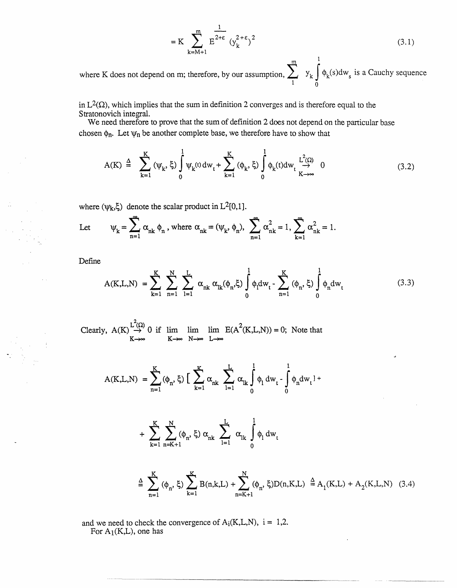$$
= K \sum_{k=M+1}^{m} E^{2+\epsilon} (y_k^{2+\epsilon})^2
$$
 (3.1)

**1** where K does not depend on m; therefore, by our assumption,  $\sum y_k \int \phi_k(s) dw_s$  is a Cauchy sequence 1 0

in  $L^2(\Omega)$ , which implies that the sum in definition 2 converges and is therefore equal to the Stratonovich integral.

We need therefore to prove that the sum of definition 2 does not depend on the particular base chosen  $\phi_n$ . Let  $\psi_n$  be another complete base, we therefore have to show that

$$
A(K) \triangleq \sum_{k=1}^{K} (\psi_k, \xi) \int_0^1 \psi_k(t) dw_t + \sum_{k=1}^{K} (\phi_k, \xi) \int_0^1 \phi_k(t) dw_t \underset{K \to \infty}{\stackrel{L^2(\Omega)}{\to}} 0
$$
 (3.2)

where  $(\psi_k, \xi)$  denote the scalar product in L<sup>2</sup>[0,1].

Let 
$$
\psi_k = \sum_{n=1}^{\infty} \alpha_{nk} \phi_n
$$
, where  $\alpha_{nk} = (\psi_k, \phi_n)$ ,  $\sum_{n=1}^{\infty} \alpha_{nk}^2 = 1$ ,  $\sum_{k=1}^{\infty} \alpha_{nk}^2 = 1$ .

Define

$$
A(K, L, N) = \sum_{k=1}^{K} \sum_{n=1}^{N} \sum_{l=1}^{L} \alpha_{nk} \alpha_{lk}(\phi_n, \xi) \int_{0}^{1} \phi_l dw_t - \sum_{n=1}^{K} (\phi_n, \xi) \int_{0}^{1} \phi_n dw_t
$$
 (3.3)

Clearly,  $A(K) \stackrel{\text{L}(34)}{\rightarrow} 0$  if lim lim lim  $E(A^{2}(K,L,N)) = 0$ ; Note that **K--oo K---- N---o L--**

$$
A(K,L,N) = \sum_{n=1}^{K} (\phi_n, \xi) \left[ \sum_{k=1}^{K} \alpha_{nk} \sum_{l=1}^{L} \alpha_{lk} \int_{0}^{1} \phi_l dw_t - \int_{0}^{1} \phi_n dw_t \right] +
$$

+ 
$$
\sum_{k=1}^{K} \sum_{n=K+1}^{N} (\phi_n, \xi) \alpha_{nk} \sum_{l=1}^{L} \alpha_{lk} \int_{0}^{1} \phi_l dw_t
$$

$$
\stackrel{\Delta}{=} \sum_{n=1}^{K} (\phi_n, \xi) \sum_{k=1}^{K} B(n,k,L) + \sum_{n=K+1}^{N} (\phi_n, \xi) D(n,K,L) \stackrel{\Delta}{=} A_1(K,L) + A_2(K,L,N) \quad (3.4)
$$

and we need to check the convergence of  $A_i(K,L,N)$ ,  $i = 1,2$ . For  $A_1(K,L)$ , one has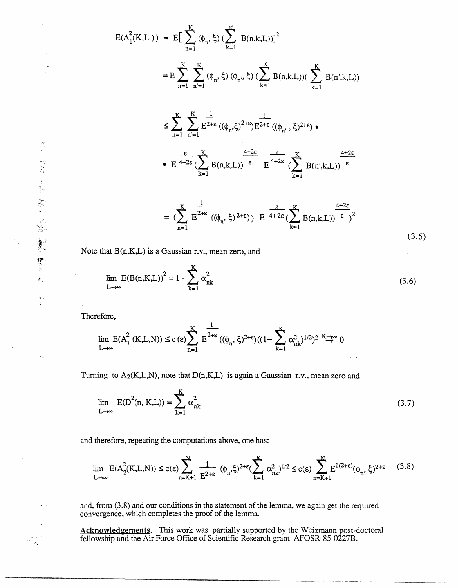$$
E(A_1^2(K, L)) = E\left[\sum_{n=1}^K (\phi_n, \xi) \left(\sum_{k=1}^K B(n,k,L)\right)\right]^2
$$
  
\n
$$
= E \sum_{n=1}^K \sum_{n=1}^K (\phi_n, \xi) (\phi_n, \xi) \left(\sum_{k=1}^K B(n,k,L)\right) \left(\sum_{k=1}^K B(n^k,k,L)\right)
$$
  
\n
$$
\leq \sum_{n=1}^K \sum_{n=1}^K \frac{1}{E^{2+\epsilon}} ((\phi_n, \xi)^{2+\epsilon}) E^{2+\epsilon} ((\phi_n, \xi)^{2+\epsilon}) \cdot
$$
  
\n
$$
\cdot E^{\frac{\epsilon}{4+2\epsilon}} (\sum_{k=1}^K B(n,k,L)) \left(\sum_{k=1}^K E^{2+\epsilon} (\sum_{k=1}^K B(n^k,k,L))\right) \left(\sum_{k=1}^K B(n^k,k,L)\right) \left(\sum_{k=1}^K E^{2+\epsilon} (\sum_{k=1}^K B(n,k,L))\right) \left(\sum_{k=1}^K E^{2+\epsilon} (\sum_{k=1}^K B(n,k,L))\right) \left(\sum_{k=1}^K E^{2+\epsilon} (\sum_{k=1}^K B(n,k,L))\right) \left(\sum_{k=1}^K E^{2+\epsilon} (\sum_{k=1}^K B(n,k,L))\right) \left(\sum_{k=1}^K B(n,k,L)\right) \left(\sum_{k=1}^K B(n,k,L)\right) \left(\sum_{k=1}^K B(n,k,L)\right) \left(\sum_{k=1}^K B(n,k,L)\right) \left(\sum_{k=1}^K B(n,k,L)\right) \left(\sum_{k=1}^K B(n,k,L)\right) \left(\sum_{k=1}^K B(n,k,L)\right) \left(\sum_{k=1}^K B(n,k,L)\right) \left(\sum_{k=1}^K B(n,k,L)\right) \left(\sum_{k=1}^K B(n,k,L)\right) \left(\sum_{k=1}^K B(n,k,L)\right) \left(\sum_{k=1}^K B(n,k,L)\right) \left(\sum_{k=1}^K B(n,k,L)\right) \left(\sum_{k=1}^K B(n,k,L)\right) \left(\sum_{k=1}^K B(n,k,L)\right) \left(\sum_{k=1}^K B(n,k,L)\right) \left(\sum_{k=1}^K B(n,k,L)\right) \left(\sum_{k=1}^
$$

Note that B(n,KL) is a Gaussian r.v., mean zero, and

$$
\lim_{L \to \infty} E(B(n,K,L))^2 = 1 - \sum_{k=1}^{K} \alpha_{nk}^2
$$
\n(3.6)

 $(3.5)$ 

 $n=1$  k=1

Therefore,

$$
\lim_{L \to \infty} E(A_1^2(K, L, N)) \le c \, (\epsilon) \sum_{n=1}^K E^{2+\epsilon} \left( (\phi_n, \xi)^{2+\epsilon} \right) \left( (1 - \sum_{k=1}^K \alpha_{nk}^2)^{1/2} \right)^2 \stackrel{K \to \infty}{\to} 0
$$

Turning to  $A_2(K,L,N)$ , note that  $D(n,K,L)$  is again a Gaussian r.v., mean zero and

$$
\lim_{L \to \infty} E(D^{2}(n, K, L)) = \sum_{k=1}^{K} \alpha_{nk}^{2}
$$
\n(3.7)

and therefore, repeating the computations above, one has:

$$
\lim_{L \to \infty} E(A_2^2(K, L, N)) \le c(\epsilon) \sum_{n=K+1}^N \frac{1}{E^{2+\epsilon}} (\phi_n, \xi)^{2+\epsilon} (\sum_{k=1}^K \alpha_{nk}^2)^{1/2} \le c(\epsilon) \sum_{n=K+1}^N E^{1(2+\epsilon)} (\phi_n, \xi)^{2+\epsilon} \tag{3.8}
$$

and, from (3.8) and our conditions in the statement of the lemma, we again get the required convergence, which completes the proof of the lemma.

Acknowledgements. This work was partially supported by the Weizmann post-doctoral fellowship and the Air Force Office of Scientific Research grant AFOSR-85-0227B.

 $\Delta$